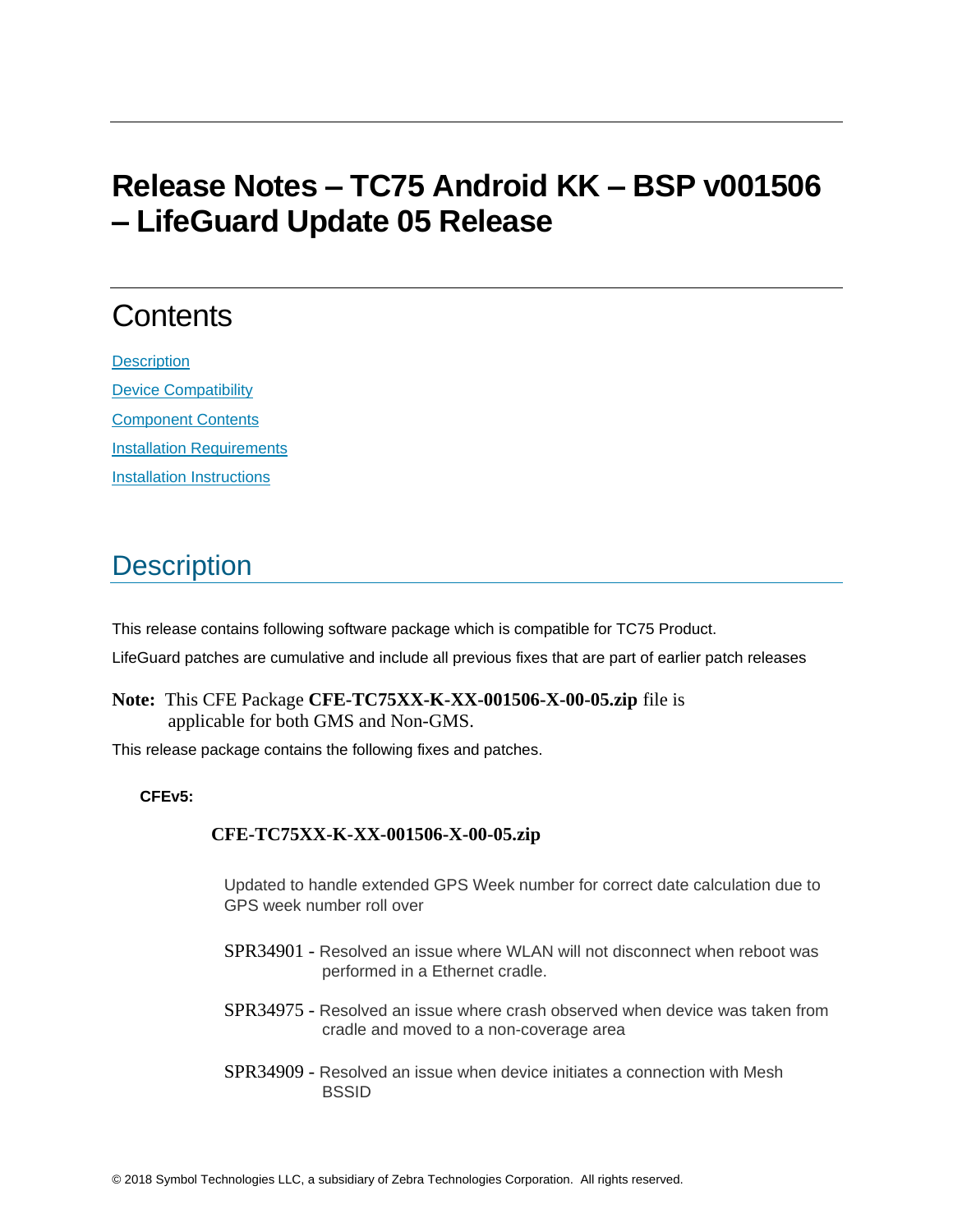# **Release Notes – TC75 Android KK – BSP v001506 – LifeGuard Update 05 Release**

# **Contents**

**[Description](#page-0-0)** [Device Compatibility](#page-2-0) [Component Contents](#page-3-0) [Installation Requirements](#page-3-1) **[Installation Instructions](#page-3-2)** 

# <span id="page-0-0"></span>**Description**

This release contains following software package which is compatible for TC75 Product. LifeGuard patches are cumulative and include all previous fixes that are part of earlier patch releases

**Note:** This CFE Package **CFE-TC75XX-K-XX-001506-X-00-05.zip** file is applicable for both GMS and Non-GMS.

This release package contains the following fixes and patches.

## **CFEv5:**

## **CFE-TC75XX-K-XX-001506-X-00-05.zip**

Updated to handle extended GPS Week number for correct date calculation due to GPS week number roll over

- SPR34901 Resolved an issue where WLAN will not disconnect when reboot was performed in a Ethernet cradle.
- SPR34975 Resolved an issue where crash observed when device was taken from cradle and moved to a non-coverage area
- SPR34909 Resolved an issue when device initiates a connection with Mesh **BSSID**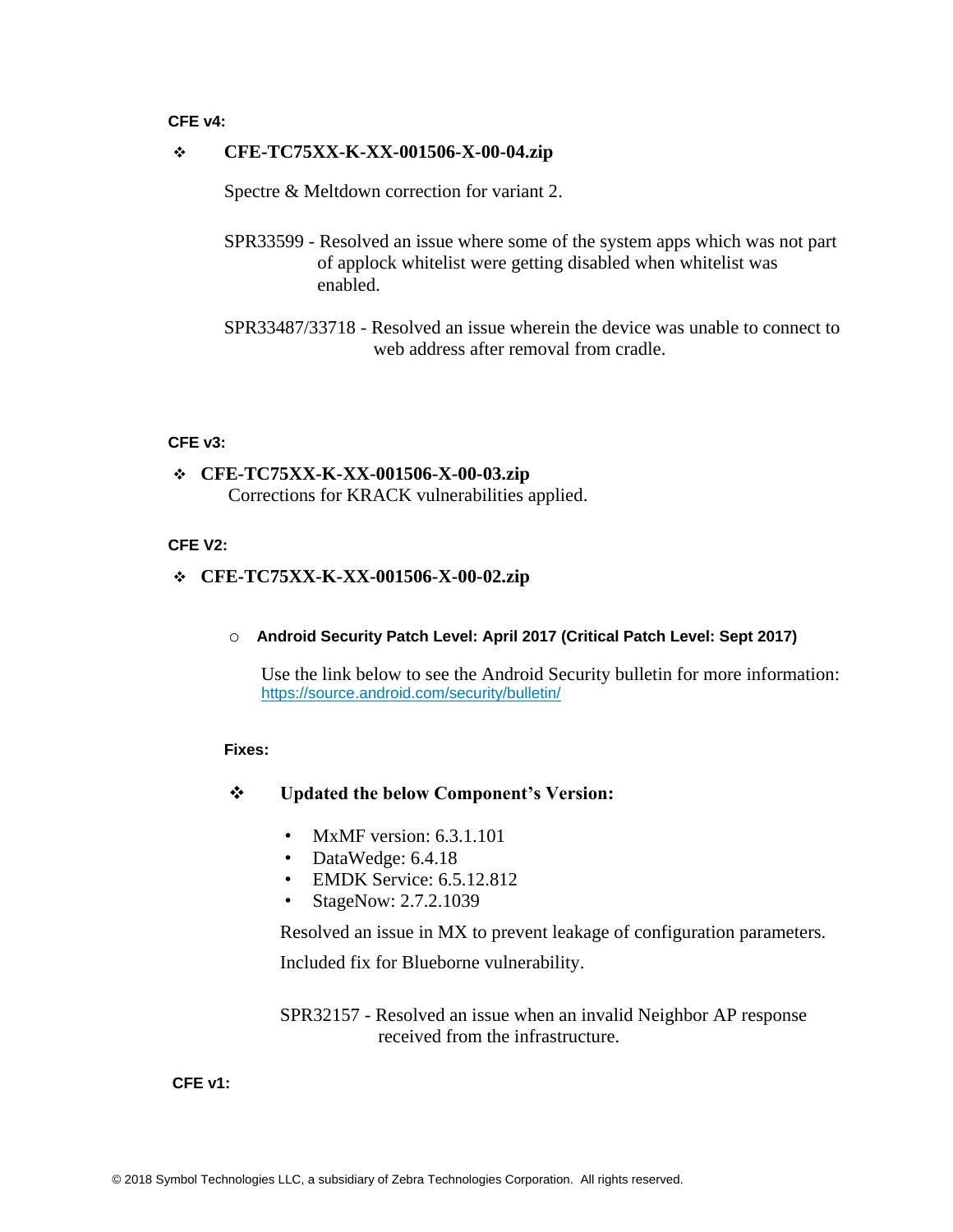#### **CFE v4:**

#### ❖ **CFE-TC75XX-K-XX-001506-X-00-04.zip**

Spectre & Meltdown correction for variant 2.

- SPR33599 Resolved an issue where some of the system apps which was not part of applock whitelist were getting disabled when whitelist was enabled.
- SPR33487/33718 Resolved an issue wherein the device was unable to connect to web address after removal from cradle.

#### **CFE v3:**

### ❖ **CFE-TC75XX-K-XX-001506-X-00-03.zip** Corrections for KRACK vulnerabilities applied.

#### **CFE V2:**

#### ❖ **CFE-TC75XX-K-XX-001506-X-00-02.zip**

o **Android Security Patch Level: April 2017 (Critical Patch Level: Sept 2017)**

Use the link below to see the Android Security bulletin for more information: <https://source.android.com/security/bulletin/>

#### **Fixes:**

#### ❖ **Updated the below Component's Version:**

- MxMF version: 6.3.1.101
- DataWedge: 6.4.18
- EMDK Service: 6.5.12.812
- StageNow: 2.7.2.1039

Resolved an issue in MX to prevent leakage of configuration parameters. Included fix for Blueborne vulnerability.

SPR32157 - Resolved an issue when an invalid Neighbor AP response received from the infrastructure.

#### **CFE v1:**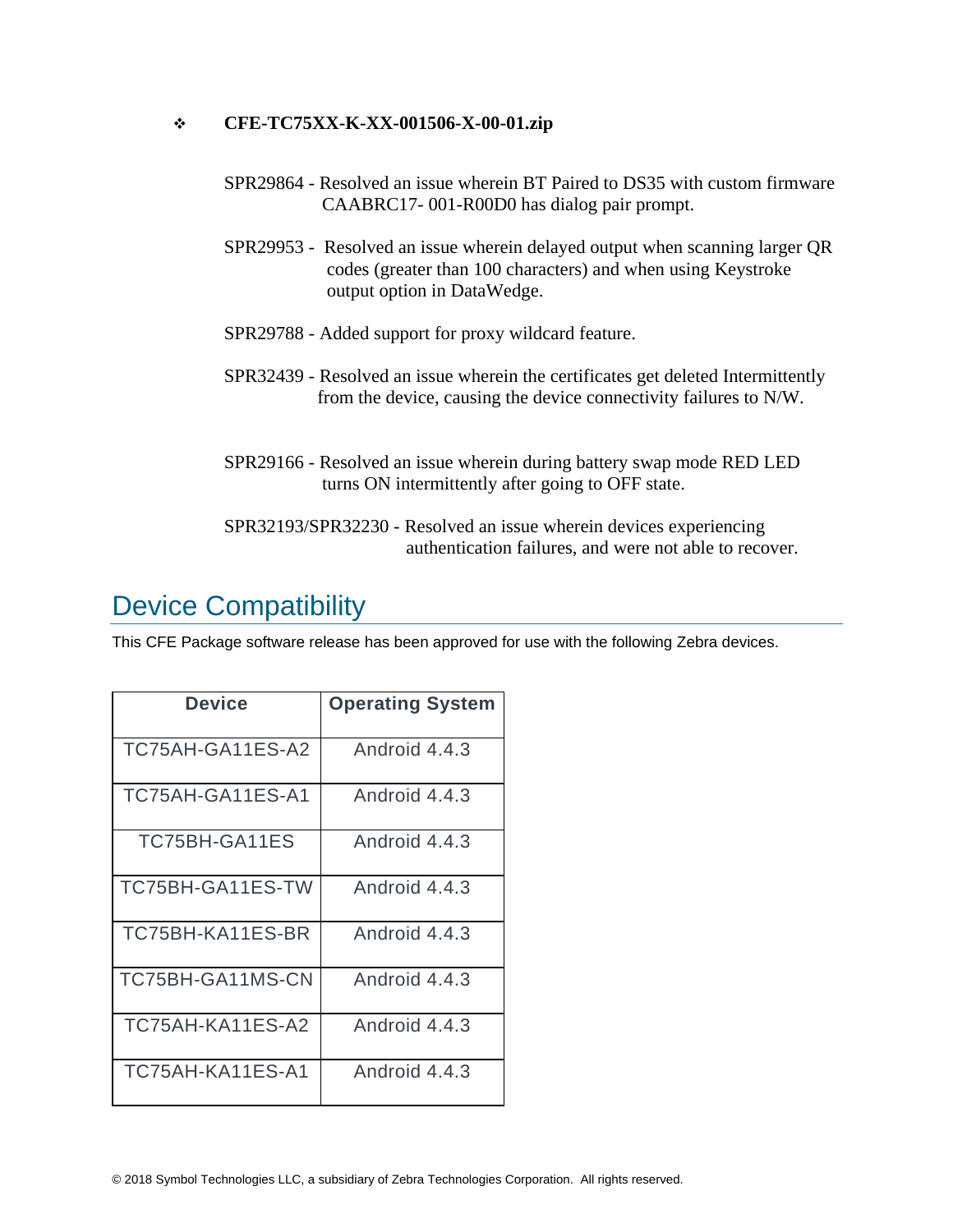### ❖ **CFE-TC75XX-K-XX-001506-X-00-01.zip**

- SPR29864 Resolved an issue wherein BT Paired to DS35 with custom firmware CAABRC17- 001-R00D0 has dialog pair prompt.
- SPR29953 Resolved an issue wherein delayed output when scanning larger QR codes (greater than 100 characters) and when using Keystroke output option in DataWedge.
- SPR29788 Added support for proxy wildcard feature.
- SPR32439 Resolved an issue wherein the certificates get deleted Intermittently from the device, causing the device connectivity failures to N/W.
- SPR29166 Resolved an issue wherein during battery swap mode RED LED turns ON intermittently after going to OFF state.
- SPR32193/SPR32230 Resolved an issue wherein devices experiencing authentication failures, and were not able to recover.

## <span id="page-2-0"></span>Device Compatibility

This CFE Package software release has been approved for use with the following Zebra devices.

| <b>Device</b>    | <b>Operating System</b> |
|------------------|-------------------------|
| TC75AH-GA11ES-A2 | Android 4.4.3           |
| TC75AH-GA11ES-A1 | Android 4.4.3           |
| TC75BH-GA11ES    | Android 4.4.3           |
| TC75BH-GA11ES-TW | Android 4.4.3           |
| TC75BH-KA11ES-BR | Android 4.4.3           |
| TC75BH-GA11MS-CN | Android 4.4.3           |
| TC75AH-KA11ES-A2 | Android 4.4.3           |
| TC75AH-KA11ES-A1 | Android 4.4.3           |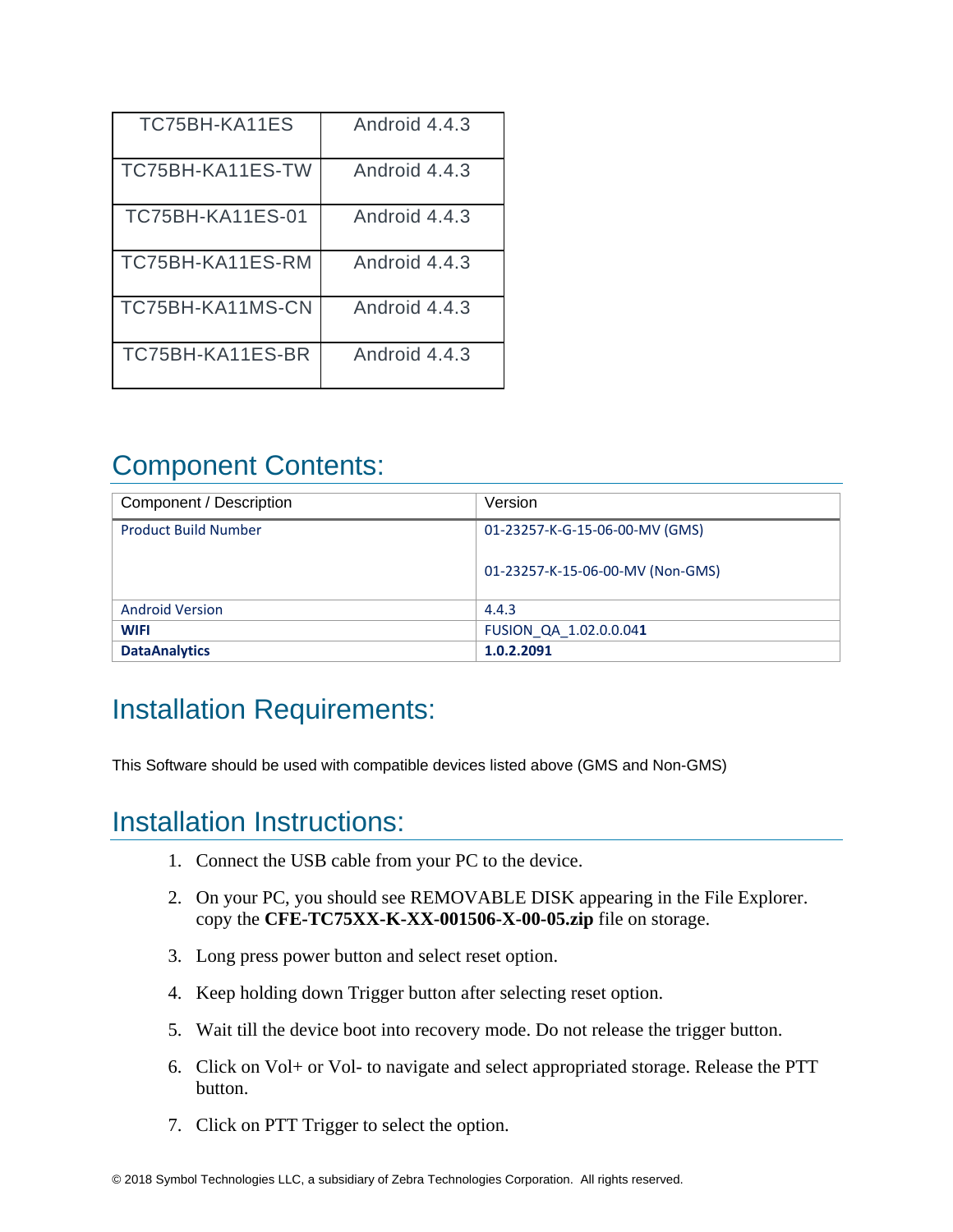| TC75BH-KA11ES           | Android 4.4.3 |
|-------------------------|---------------|
| TC75BH-KA11ES-TW        | Android 4.4.3 |
| <b>TC75BH-KA11ES-01</b> | Android 4.4.3 |
| TC75BH-KA11ES-RM        | Android 4.4.3 |
| TC75BH-KA11MS-CN        | Android 4.4.3 |
| TC75BH-KA11ES-BR        | Android 4.4.3 |

# <span id="page-3-0"></span>Component Contents:

| Component / Description     | Version                          |
|-----------------------------|----------------------------------|
| <b>Product Build Number</b> | 01-23257-K-G-15-06-00-MV (GMS)   |
|                             | 01-23257-K-15-06-00-MV (Non-GMS) |
| <b>Android Version</b>      | 4.4.3                            |
| <b>WIFI</b>                 | FUSION QA 1.02.0.0.041           |
| <b>DataAnalytics</b>        | 1.0.2.2091                       |

## <span id="page-3-1"></span>Installation Requirements:

This Software should be used with compatible devices listed above (GMS and Non-GMS)

## <span id="page-3-2"></span>Installation Instructions:

- 1. Connect the USB cable from your PC to the device.
- 2. On your PC, you should see REMOVABLE DISK appearing in the File Explorer. copy the **CFE-TC75XX-K-XX-001506-X-00-05.zip** file on storage.
- 3. Long press power button and select reset option.
- 4. Keep holding down Trigger button after selecting reset option.
- 5. Wait till the device boot into recovery mode. Do not release the trigger button.
- 6. Click on Vol+ or Vol- to navigate and select appropriated storage. Release the PTT button.
- 7. Click on PTT Trigger to select the option.